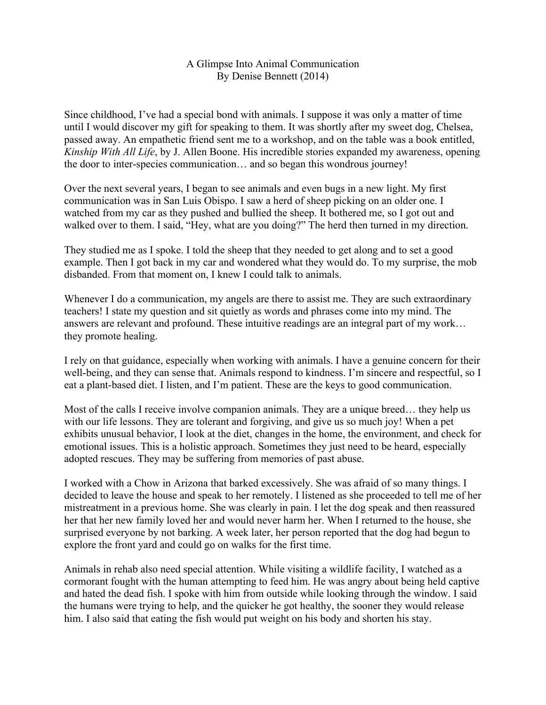## A Glimpse Into Animal Communication By Denise Bennett (2014)

Since childhood, I've had a special bond with animals. I suppose it was only a matter of time until I would discover my gift for speaking to them. It was shortly after my sweet dog, Chelsea, passed away. An empathetic friend sent me to a workshop, and on the table was a book entitled, *Kinship With All Life*, by J. Allen Boone. His incredible stories expanded my awareness, opening the door to inter-species communication… and so began this wondrous journey!

Over the next several years, I began to see animals and even bugs in a new light. My first communication was in San Luis Obispo. I saw a herd of sheep picking on an older one. I watched from my car as they pushed and bullied the sheep. It bothered me, so I got out and walked over to them. I said, "Hey, what are you doing?" The herd then turned in my direction.

They studied me as I spoke. I told the sheep that they needed to get along and to set a good example. Then I got back in my car and wondered what they would do. To my surprise, the mob disbanded. From that moment on, I knew I could talk to animals.

Whenever I do a communication, my angels are there to assist me. They are such extraordinary teachers! I state my question and sit quietly as words and phrases come into my mind. The answers are relevant and profound. These intuitive readings are an integral part of my work… they promote healing.

I rely on that guidance, especially when working with animals. I have a genuine concern for their well-being, and they can sense that. Animals respond to kindness. I'm sincere and respectful, so I eat a plant-based diet. I listen, and I'm patient. These are the keys to good communication.

Most of the calls I receive involve companion animals. They are a unique breed… they help us with our life lessons. They are tolerant and forgiving, and give us so much joy! When a pet exhibits unusual behavior, I look at the diet, changes in the home, the environment, and check for emotional issues. This is a holistic approach. Sometimes they just need to be heard, especially adopted rescues. They may be suffering from memories of past abuse.

I worked with a Chow in Arizona that barked excessively. She was afraid of so many things. I decided to leave the house and speak to her remotely. I listened as she proceeded to tell me of her mistreatment in a previous home. She was clearly in pain. I let the dog speak and then reassured her that her new family loved her and would never harm her. When I returned to the house, she surprised everyone by not barking. A week later, her person reported that the dog had begun to explore the front yard and could go on walks for the first time.

Animals in rehab also need special attention. While visiting a wildlife facility, I watched as a cormorant fought with the human attempting to feed him. He was angry about being held captive and hated the dead fish. I spoke with him from outside while looking through the window. I said the humans were trying to help, and the quicker he got healthy, the sooner they would release him. I also said that eating the fish would put weight on his body and shorten his stay.